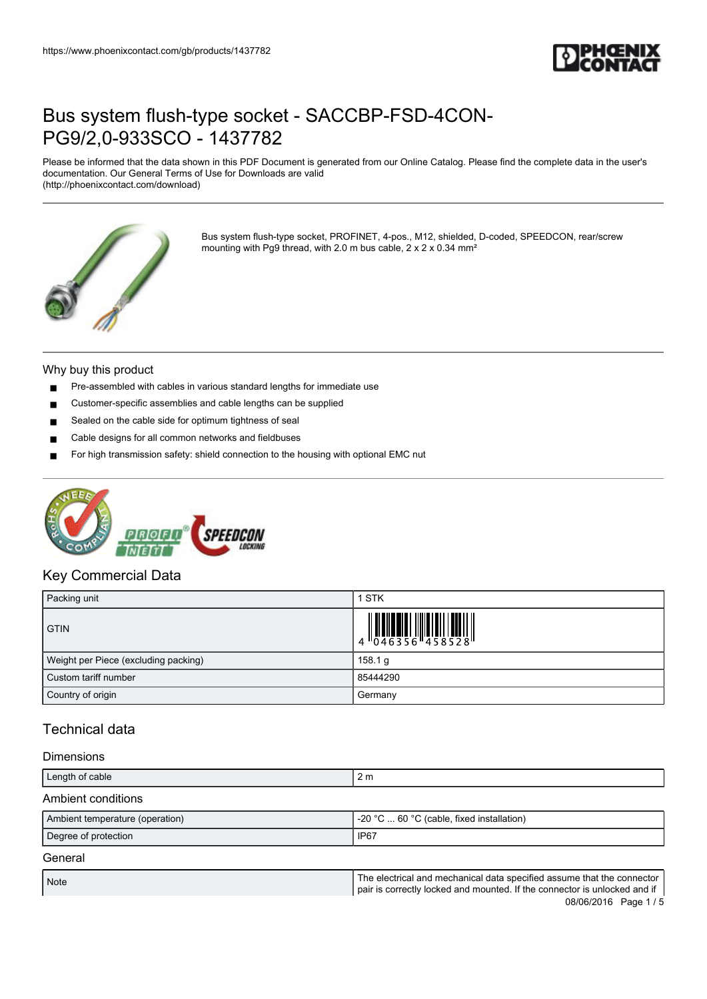

Please be informed that the data shown in this PDF Document is generated from our Online Catalog. Please find the complete data in the user's documentation. Our General Terms of Use for Downloads are valid (http://phoenixcontact.com/download)



Bus system flush-type socket, PROFINET, 4-pos., M12, shielded, D-coded, SPEEDCON, rear/screw mounting with Pg9 thread, with 2.0 m bus cable, 2 x 2 x 0.34 mm²

#### Why buy this product

- Pre-assembled with cables in various standard lengths for immediate use
- Customer-specific assemblies and cable lengths can be supplied
- Sealed on the cable side for optimum tightness of seal
- Cable designs for all common networks and fieldbuses
- For high transmission safety: shield connection to the housing with optional EMC nut



#### Key Commercial Data

| Packing unit                         | <b>STK</b> |
|--------------------------------------|------------|
| <b>GTIN</b>                          |            |
| Weight per Piece (excluding packing) | 158.1 g    |
| Custom tariff number                 | 85444290   |
| Country of origin                    | Germany    |

### Technical data

#### Dimensions

| Length of cable                 | 2 <sub>m</sub>                                                                                                                                      |
|---------------------------------|-----------------------------------------------------------------------------------------------------------------------------------------------------|
| Ambient conditions              |                                                                                                                                                     |
| Ambient temperature (operation) | -20 °C $\dots$ 60 °C (cable, fixed installation)                                                                                                    |
| Degree of protection            | IP <sub>67</sub>                                                                                                                                    |
| General                         |                                                                                                                                                     |
| <b>Note</b>                     | The electrical and mechanical data specified assume that the connector<br>pair is correctly locked and mounted. If the connector is unlocked and if |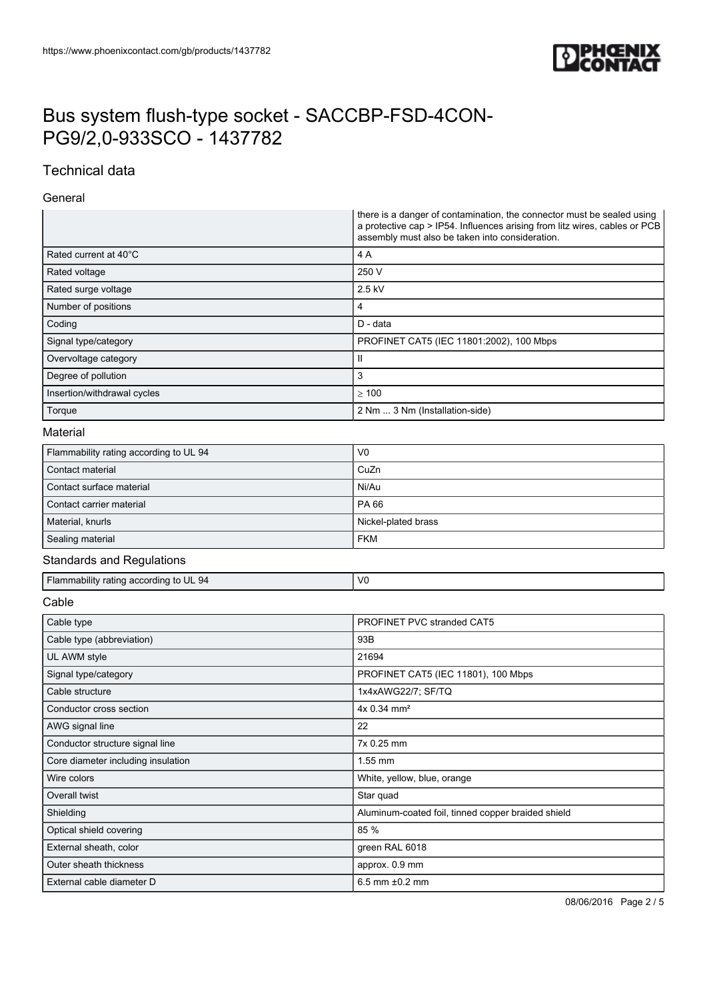

### Technical data

#### General

|                                        | there is a danger of contamination, the connector must be sealed using<br>a protective cap > IP54. Influences arising from litz wires, cables or PCB<br>assembly must also be taken into consideration. |
|----------------------------------------|---------------------------------------------------------------------------------------------------------------------------------------------------------------------------------------------------------|
| Rated current at 40°C                  | 4A                                                                                                                                                                                                      |
| Rated voltage                          | 250 V                                                                                                                                                                                                   |
| Rated surge voltage                    | 2.5 kV                                                                                                                                                                                                  |
| Number of positions                    | 4                                                                                                                                                                                                       |
| Coding                                 | D - data                                                                                                                                                                                                |
| Signal type/category                   | PROFINET CAT5 (IEC 11801:2002), 100 Mbps                                                                                                                                                                |
| Overvoltage category                   | Ш                                                                                                                                                                                                       |
| Degree of pollution                    | 3                                                                                                                                                                                                       |
| Insertion/withdrawal cycles            | $\geq 100$                                                                                                                                                                                              |
| Torque                                 | 2 Nm  3 Nm (Installation-side)                                                                                                                                                                          |
| Material                               |                                                                                                                                                                                                         |
| Flammability rating according to UL 94 | V <sub>0</sub>                                                                                                                                                                                          |
| Contact material                       | CuZn                                                                                                                                                                                                    |
| Contact surface material               | Ni/Au                                                                                                                                                                                                   |
| Contact carrier material               | PA 66                                                                                                                                                                                                   |
| Material, knurls                       | Nickel-plated brass                                                                                                                                                                                     |
| Sealing material                       | <b>FKM</b>                                                                                                                                                                                              |
| <b>Standards and Regulations</b>       |                                                                                                                                                                                                         |
| Flammability rating according to UL 94 | V <sub>0</sub>                                                                                                                                                                                          |
| Cable                                  |                                                                                                                                                                                                         |
| Cable type                             | PROFINET PVC stranded CAT5                                                                                                                                                                              |
| Cable type (abbreviation)              | 93B                                                                                                                                                                                                     |
| UL AWM style                           | 21694                                                                                                                                                                                                   |
| Signal type/category                   | PROFINET CAT5 (IEC 11801), 100 Mbps                                                                                                                                                                     |
| Cable structure                        | 1x4xAWG22/7; SF/TQ                                                                                                                                                                                      |
| Conductor cross section                | 4x 0.34 mm <sup>2</sup>                                                                                                                                                                                 |
| AWG signal line                        | 22                                                                                                                                                                                                      |
| Conductor structure signal line        | 7x 0.25 mm                                                                                                                                                                                              |
| Core diameter including insulation     | 1.55 mm                                                                                                                                                                                                 |
| Wire colors                            | White, yellow, blue, orange                                                                                                                                                                             |
| Overall twist                          | Star quad                                                                                                                                                                                               |
| Shielding                              | Aluminum-coated foil, tinned copper braided shield                                                                                                                                                      |
| Optical shield covering                | 85 %                                                                                                                                                                                                    |
| External sheath, color                 | green RAL 6018                                                                                                                                                                                          |
| Outer sheath thickness                 | approx. 0.9 mm                                                                                                                                                                                          |
| External cable diameter D              | $6.5$ mm $±0.2$ mm                                                                                                                                                                                      |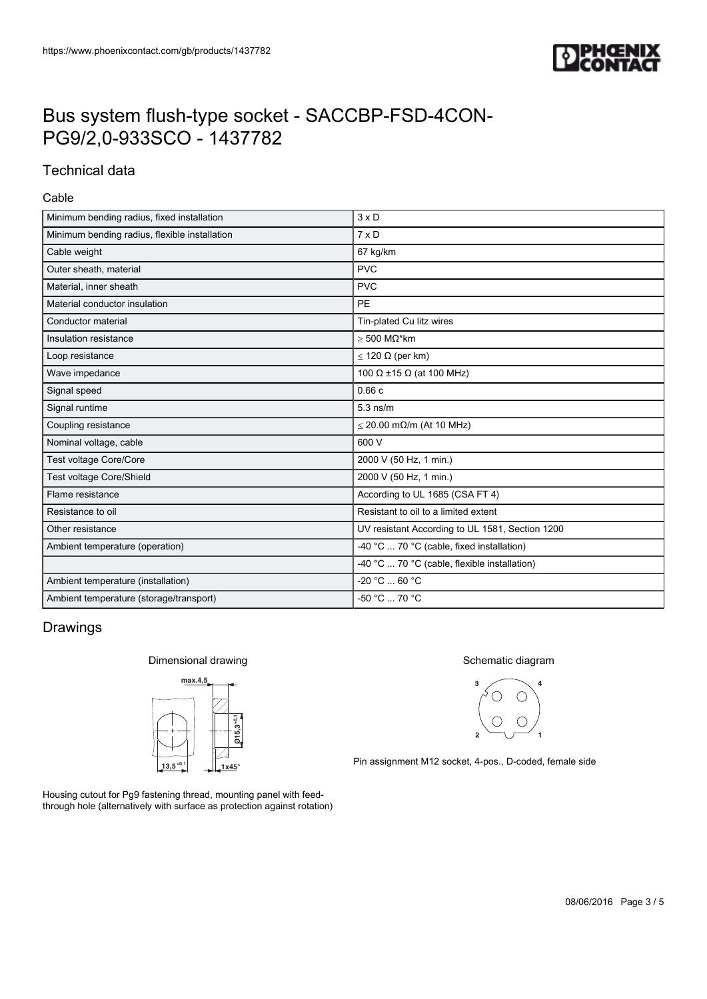

### Technical data

#### Cable

| $3 \times D$                                    |  |
|-------------------------------------------------|--|
| $7 \times D$                                    |  |
| 67 kg/km                                        |  |
| <b>PVC</b>                                      |  |
| <b>PVC</b>                                      |  |
| <b>PE</b>                                       |  |
| Tin-plated Cu litz wires                        |  |
| $>$ 500 M $\Omega^*$ km                         |  |
| $\leq$ 120 $\Omega$ (per km)                    |  |
| 100 $\Omega$ ±15 $\Omega$ (at 100 MHz)          |  |
| 0.66c                                           |  |
| $5.3$ ns/m                                      |  |
| $\leq$ 20.00 m $\Omega$ /m (At 10 MHz)          |  |
| 600 V                                           |  |
| 2000 V (50 Hz, 1 min.)                          |  |
| 2000 V (50 Hz, 1 min.)                          |  |
| According to UL 1685 (CSA FT 4)                 |  |
| Resistant to oil to a limited extent            |  |
| UV resistant According to UL 1581, Section 1200 |  |
| -40 °C  70 °C (cable, fixed installation)       |  |
| -40 °C  70 °C (cable, flexible installation)    |  |
| $-20 °C  60 °C$                                 |  |
| $-50 °C  70 °C$                                 |  |
|                                                 |  |

### Drawings

#### Dimensional drawing



Housing cutout for Pg9 fastening thread, mounting panel with feedthrough hole (alternatively with surface as protection against rotation)

#### Schematic diagram



Pin assignment M12 socket, 4-pos., D-coded, female side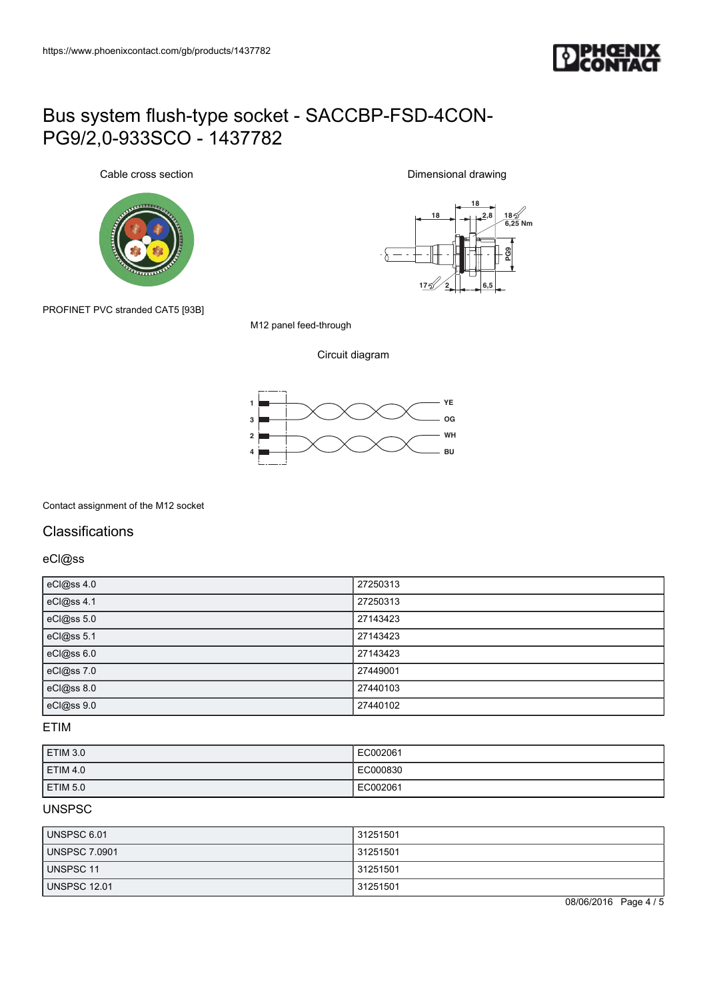

Cable cross section



**18 18 2,8 18 6,25 Nm**  $-\delta$ **F**<br> **PG9**<br> **FG5**<br> **FG5 17 2**

Dimensional drawing

PROFINET PVC stranded CAT5 [93B]

M12 panel feed-through

Circuit diagram



Contact assignment of the M12 socket

### **Classifications**

eCl@ss

| eCl@ss 4.0 | 27250313 |
|------------|----------|
| eCl@ss 4.1 | 27250313 |
| eCl@ss 5.0 | 27143423 |
| eCl@ss 5.1 | 27143423 |
| eCl@ss 6.0 | 27143423 |
| eCl@ss 7.0 | 27449001 |
| eCl@ss 8.0 | 27440103 |
| eCl@ss 9.0 | 27440102 |

#### ETIM

| ETIM 3.0        | EC002061 |
|-----------------|----------|
| <b>ETIM 4.0</b> | EC000830 |
| <b>ETIM 5.0</b> | EC002061 |

#### UNSPSC

| UNSPSC 6.01          | 31251501 |
|----------------------|----------|
| <b>UNSPSC 7.0901</b> | 31251501 |
| UNSPSC 11            | 31251501 |
| <b>UNSPSC 12.01</b>  | 31251501 |

08/06/2016 Page 4 / 5